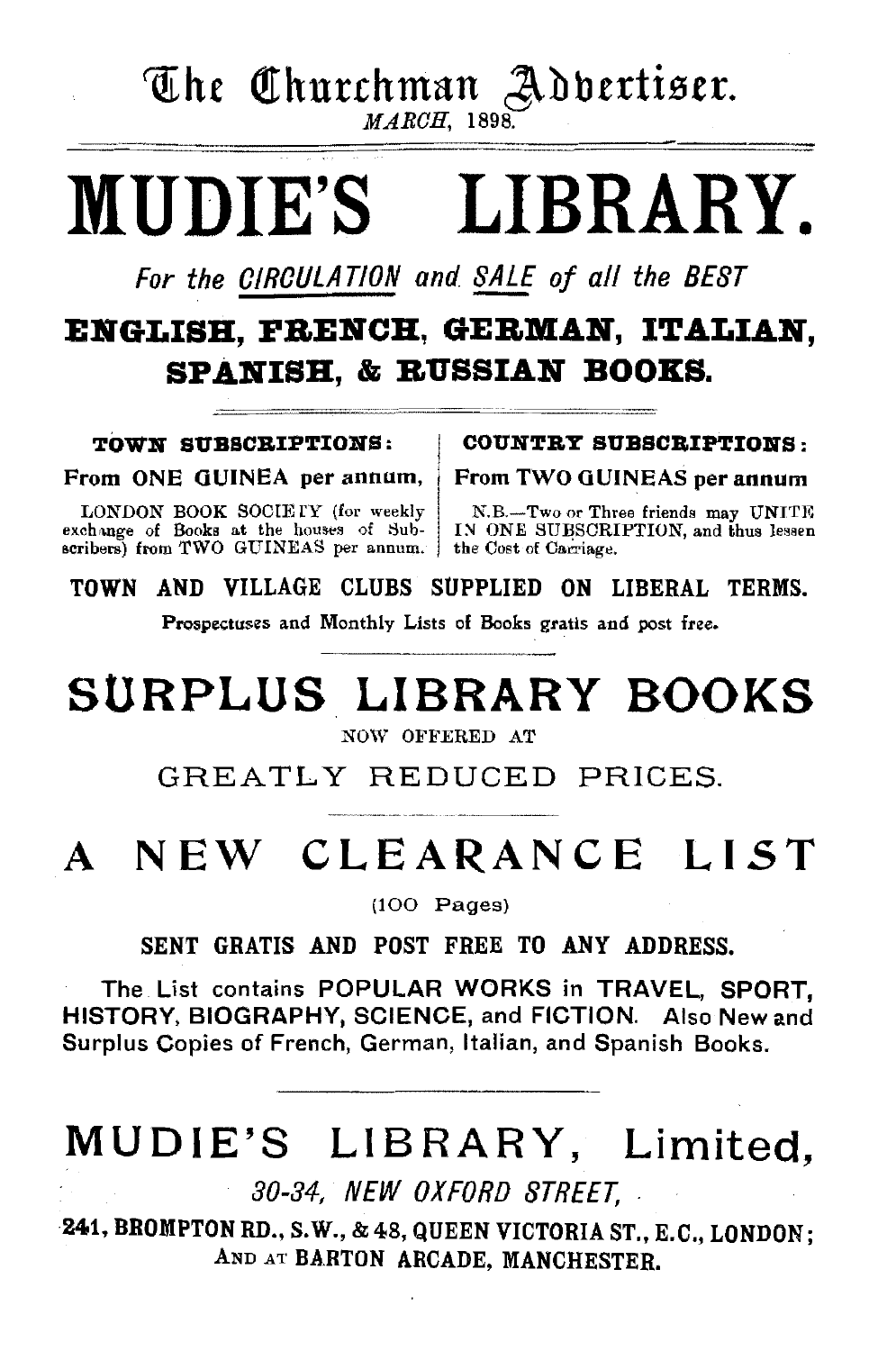# ~h£ Q.thurrhman J\.bbttti9tt.

 $MARCH$ , 1898.

# MUDIE'S LIBRARY.

For the CIRCULATION and SALE of all the BEST

## ENGLISH, FRENCH, GERMAN, ITALIAN. SPANISH, & BUSSIAN BOOKS.

From ONE GUINEA per annum, ' From TWO GUINEAS per annum

exchange of Books at the houses of Subscribers) from TWO GUINEAS per annum. the Cost of Cacriage.

TOWN SUBSCRIPTIONS: | COUNTRY SUBSCRIPTIONS:

LONDON BOOK SOCIETY (for weekly N.B.-Two or Three friends may UNITE change of Books at the houses of Sub- IN ONE SUBSCRIPTION, and thus lessen

TOWN AND VILLAGE CLUBS SUPPLIED ON LIBERAL TERMS.

Prospectuses and Monthly Lists of Books gratis and post free.

# SURPLUS LIBRARY BOOKS

NOW OFFERED AT

GREATLY REDUCED PRICES.

# A NEW CLEARANCE LIST

(100 Pages)

SENT GRATIS AND POST FREE TO ANY ADDRESS.

The List contains POPULAR WORKS in TRAVEL, SPORT, HISTORY, BIOGRAPHY, SCIENCE, and FICTION. Also New and Surplus Copies of French, German, Italian, and Spanish Books.

## MUDIE'S LIBRARY, Limited,

30-34, NEW OXFORD STREET, .

241, BROMPTON RD., S. W., & 48, QUEEN VICTORIA ST., E.C., LONDON; AND AT BARTON ARCADE. MANCHESTER.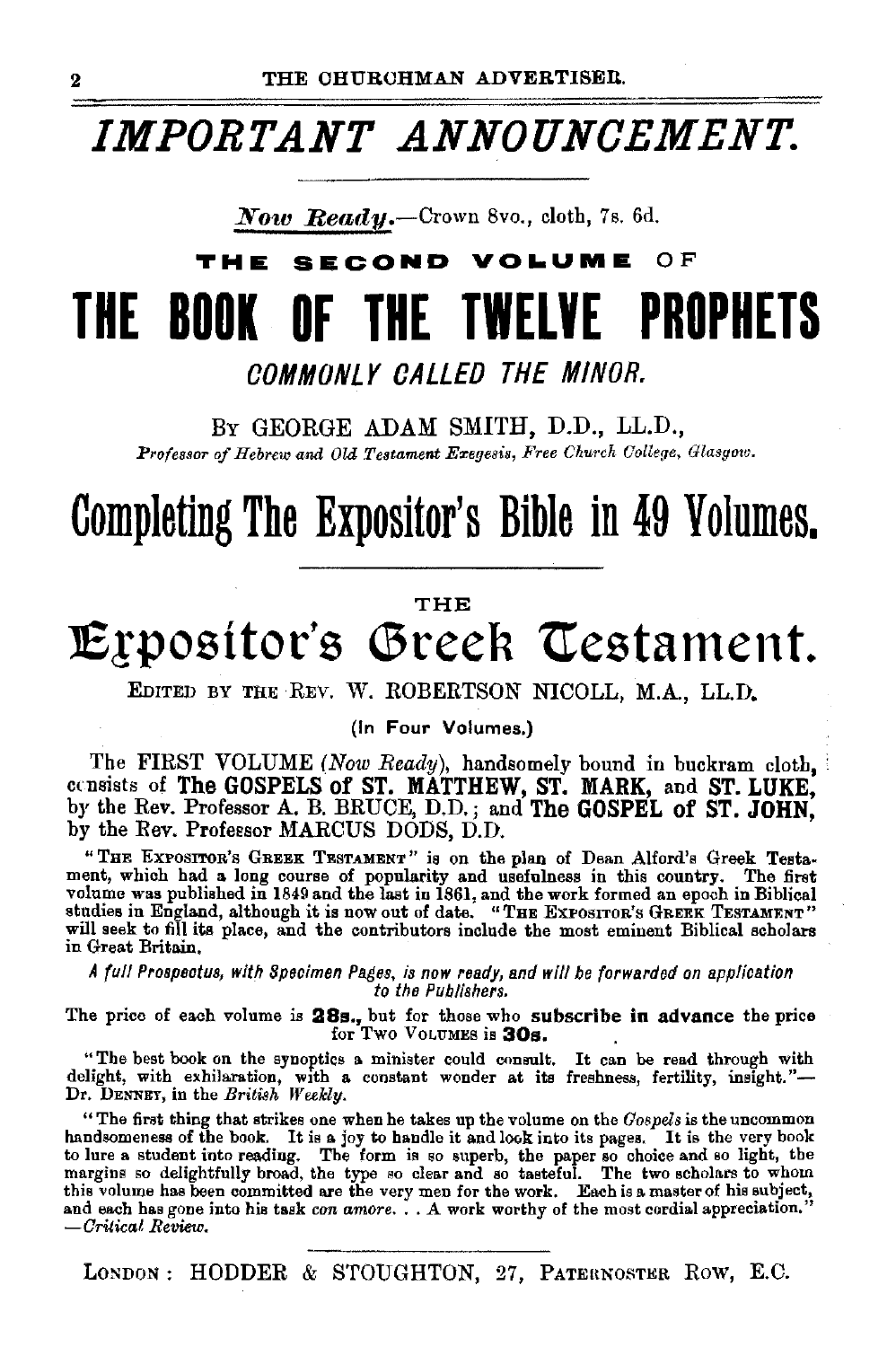## *IMPORTANT ANNOUNCEMENT.*

*Now Beady.-Crown* Svo., cloth, 7s. 6d.

# **SECOND VOLUME OF THE BOOK OF THE TWELVE PROPHETS**

COMMONLY CALLED THE MINOR.

BY GEORGE ADAM SMITH, D.D., LL.D., Professor of Hebrew and Old Testament Exegesis, Free Church College, Glasgow.

# **Completing The Expositor's Bible in 49 Volumes.**

### THE

# **Expositor's Greek Testament.**

EDITED BY THE REV. W. ROBERTSON NICOLL, M.A., LL.D.

(In Four Volumes.)

The FIRST VOLUME *(Now Ready),* handsomely bound in buckram cloth, • crnsists of The GOSPELS of ST. MATTHEW, ST. MARK, and ST. LUKE, by the Rev. Professor A. B. BRUCE, D.D.; and The GOSPEL of ST. JOHN. by the Rev. Professor MARCUS DODS, D.D.

"THE ExPOSITOR's GREEK TESTAMENT'' is on the plan of Dean Alford's Greek Testament, which had a long course of popularity and usefulness in this country. The first<br>volume was published in 1849 and the last in 1861, and the work formed an epoch in Biblical<br>studies in England, although it is now out o will seek to fill its place, and the contributors include the most eminent Biblical scholars in Great Britain.

*A full Prospectus, with Specimen Pages, is now ready, and will be forwarded on application to the Publishers.* 

The price of each volume is  $28s$ , but for those who subscribe in advance the price for Two VoLUMES is  $30s$ .

"The best book on the synoptics a. minister could consult. It can be read through with delight, with exhilaration, with a constant wonder at its freshness, fertility, insight."-Dr. DENNEY, in the *British Weekly.* 

"The first thing that strikes one when he takes up the volume on the *Gospels* is the uncommon handsomeness of the book. It is a joy to handle it and look into its pages. It is the very book to lure a student into reading. The form is so superb, the paper so choice and so light, the margins so delightfully broad, the type so clear and so tasteful. The two scholars to whom this volume has been committed are the very men for the work. Each is a master of his subject, and each has gone into his task *con amore .* .. A work worthy of the most cordial appreciation." *-Critical Review.* 

LONDON: HODDER & STOUGHTON, 27, PATERNOSTER ROW, E.C.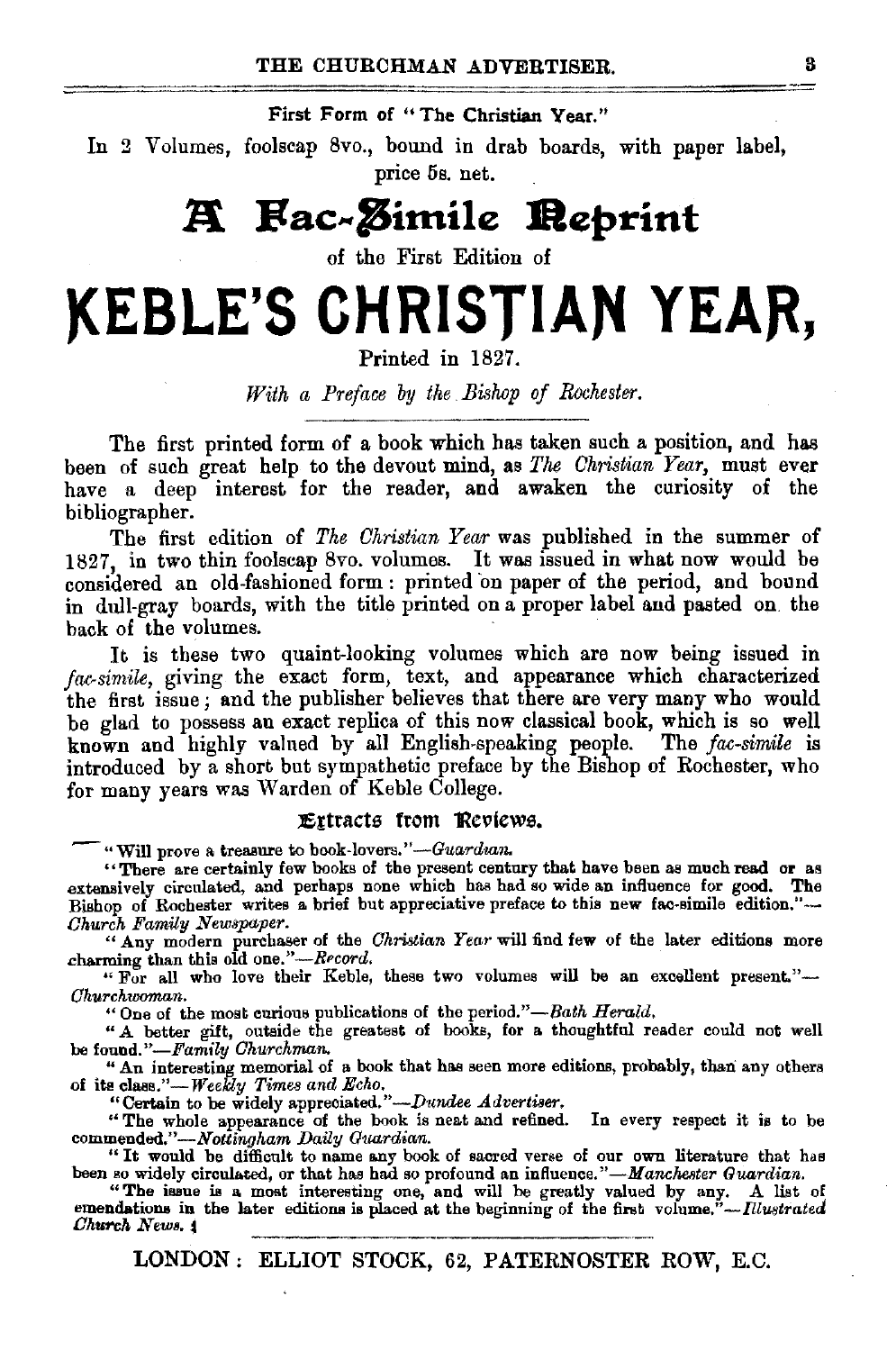### First Form of "The Christian Year."

In 2 Volumes, foolscap 8vo., bound in drab boards, with paper label, price 5s. net.

## **A** Fac-*Z*imile **Reprint**

of the First Edition of

# KEBLE'S CHRISTIAN YEAR,

Printed in 1827.

*With a Preface by the* . *Bislwp of Rochester.* 

The first printed form of a book which has taken such a position, and has been of such great help to the devout mind, as *The Christian Year,* must ever have a deep interest for the reader, and awaken the curiosity of the bibliographer.

The first edition of *The Christian Year* was published in the summer of 1827, in two thin foolscap 8vo. volumes. It was issued in what now would be considered an old-fashioned form : printed on paper of the period, and bound in dull-gray boards, with the title printed on a proper label and pasted on. the back of the volumes.

It is these two quaint-looking volumes which are now being issued in *fac-simile*, giving the exact form, text, and appearance which characterized the first issue; and the publisher believes that there are very many who would be glad to possess an exact replica of this now classical book, which is so well known and highly valued by all English-speaking people. The *fac-simile* is introduced by a short but sympathetic preface by the Bishop of Rochester, who for many years was Warden of Keble College.

### Extracts from Reviews.

-"Will prove a treasure to book-lovers." *-Guarduzn.* 

"There are certainly few books of the present century that have been as much read or as extensively circulated, and perhaps none which has had so wide an influence for good. The Bishop of Rochester writes a brief but appreciative preface to this new fac-simile edition."-*Church Family Newspaper.* 

" Any modern purchaser of the *Christian Year* will find few of the later editions more charming than this old *one."-RPcord.* 

"For all who love their Keble, these two volumes will be an excellent present."- *Ohurchwoman.* 

"One of the most curious publications of the period."-Bath *Herald*.

" A better gift, outside the greatest of books, for a thoughtful reader could not well be found."-Family Churchman.

" An interesting memorial of a book that has seen more editions, probably, than any others of its class."-*Weekly Times and Echo.* 

"Certain to be widely appreciated."-Dundee Advertiser.

"The whole appearance of the book is neat and refined. In every respect it is to be *commended."-Nottingham Daily Guardian.* 

"It would be difficult to name any book of sacred verse of our own literature that has been so widely circulated, or that has had so profound an influence."-Manchester *Guardian*.

"The issue is a most interesting one, and will be greatly valued by any. A list of emendations in the later editions is placed at the beginning of the first volume." $-$ *fllustrated Church News.*  $\ddot{ }$ 

LONDON : ELLIOT STOCK, 62, PATERNOSTER ROW, E.C.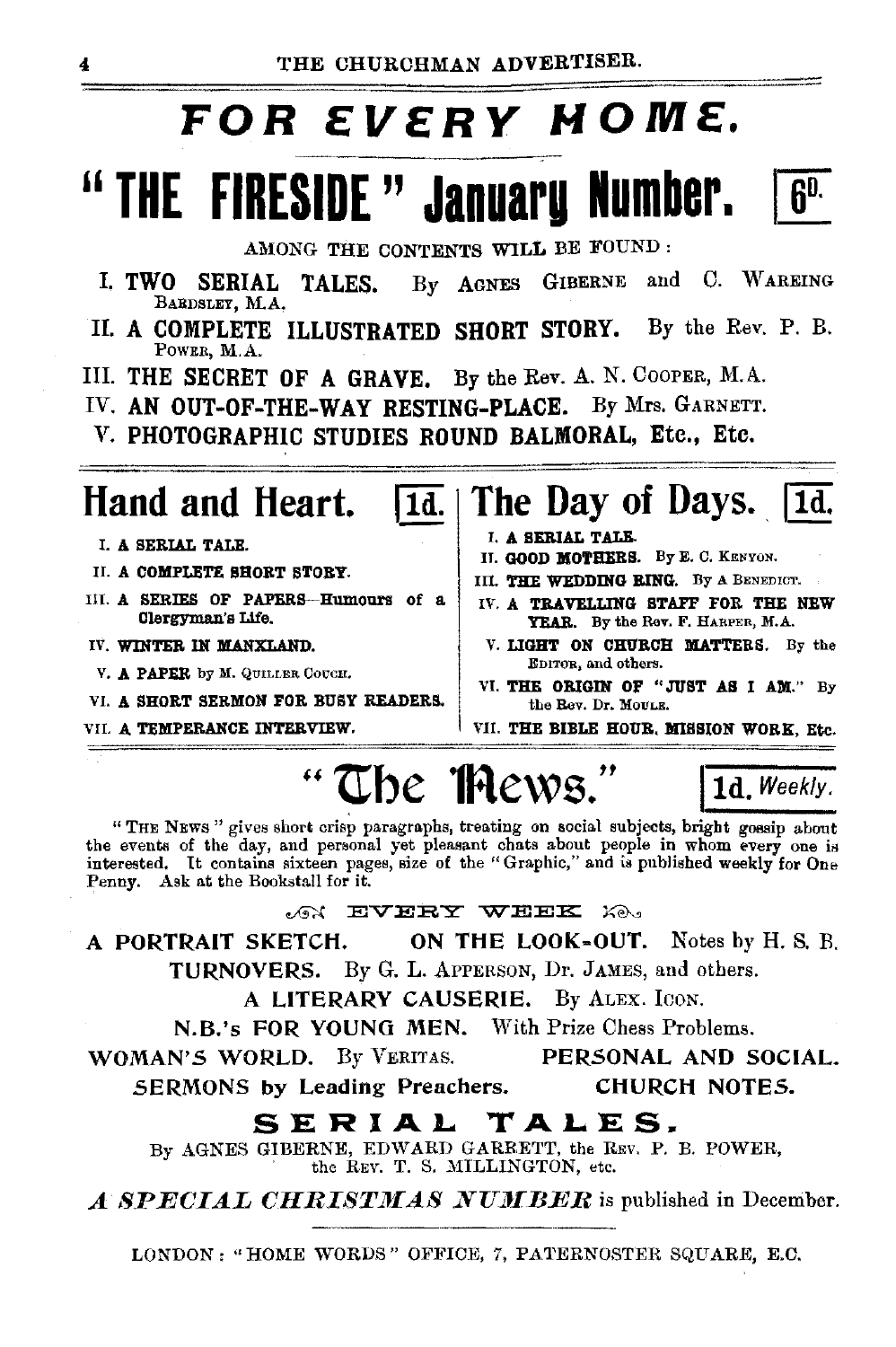# **FOR EVERY HOME.**

# <sup>"</sup> THE FIRESIDE " January Number. **6**<sup>0</sup>

AMONG THE CONTENTS WILL BE FOUND :

- I. TWO SERIAL TALES. By AGNES GIBERNE and C. WAREING BARDSLEY, M.A,
- II. A COMPLETE ILLUSTRATED SHORT STORY. By the Rev. P. B. POWER, M.A.
- III. THE SECRET OF A GRAVE. By the Rev. A. N. CooPER, M.A.
- IV. AN OUT-OF-THE-WAY RESTING-PLACE. By Mrs. GARNETT.
- V. PHOTOGRAPHIC STUDIES ROUND BALMORAL, Etc., Etc.

- I. A SERIAL TALE.
- II. A COMPLETE SHORT STORY.
- III. A SERIES OF PAPERs-Humours of a Clergyman's Life.
- IV. WINTER IN MANXLAND.
- V. A PAPER by M. QUILLER COUCH.
- VI. A SHORT SERMON FOR BUSY READERS.
- VII. A TEMPERANCE INTERVIEW.

## **Hand and Heart. II**. **The Day of Days. II**.

- I. A SERIAL TALE.
- II. GOOD MOTHERS. By E. C. KENYON.
- III. THE WEDDING RING. By A BENEDICT.
- IV. A TRAVELLING STAFF FOR THE NEW YEAR. By the Rev. F. HARPER, M.A.
- V. LIGHT ON CHURCH MATTERS. By the EDITOR, and others.
- VI. THE ORIGIN OF "JUST AS I AM." By the Rev. Dr. MOULE.

VII. THE BIBLE HOUR, MISSION WORK, Etc.

# <sup>H</sup>**Ube 1Rews.H jtd.** weekly.

"THE NEWS" gives short crisp paragraphs, treating on social subjects, bright gossip about the events of the day, and personal yet pleasant chats about people in whom every one is interested. It contains sixteen pages, size of the "Graphic," and is published weekly for One Penny. Ask at the Bookstall for it.

## $\mathcal{L}$  and  $\mathbf{E}$   $\mathbf{V}$   $\mathbf{E}$   $\mathbf{E}$   $\mathbf{Y}$   $\mathbf{E}$   $\mathbf{Y}$   $\mathbf{E}$   $\mathbf{E}$   $\mathbf{Y}$   $\mathbf{E}$   $\mathbf{E}$   $\mathbf{Y}$   $\mathbf{E}$   $\mathbf{E}$   $\mathbf{Y}$   $\mathbf{E}$   $\mathbf{E}$   $\mathbf{Y}$   $\mathbf{E}$   $\mathbf{E}$   $\mathbf{Y}$   $\mathbf{E}$

A PORTRAIT SKETCH. ON THE LOOK-OUT. Notes by H. S. *R.*  TURNOVERS. By G. L. APPERSON, Dr. JAMES, and others.

A LITERARY CAUSERIE. By ALEx. IcoN.

N.B.'s FOR YOUNG MEN. With Prize Chess Problems.

WOMAN'S WORLD. By VERITAS. PERSONAL AND SOCIAL.

SERMONS by Leading Preachers. CHURCH NOTES.

## **SERIAL TALES.**

By AGNES GIBERNE, EDWARD GARBETT, the REV. P. B. POWER, the REV. T. S. MILLINGTON, etc.

A **SPECIAL CHRISTMAS NUMBER** is published in December.

LONDON : "HOME WORDS" OFFICE, 7, PATERNOSTER SQUARE, E.C.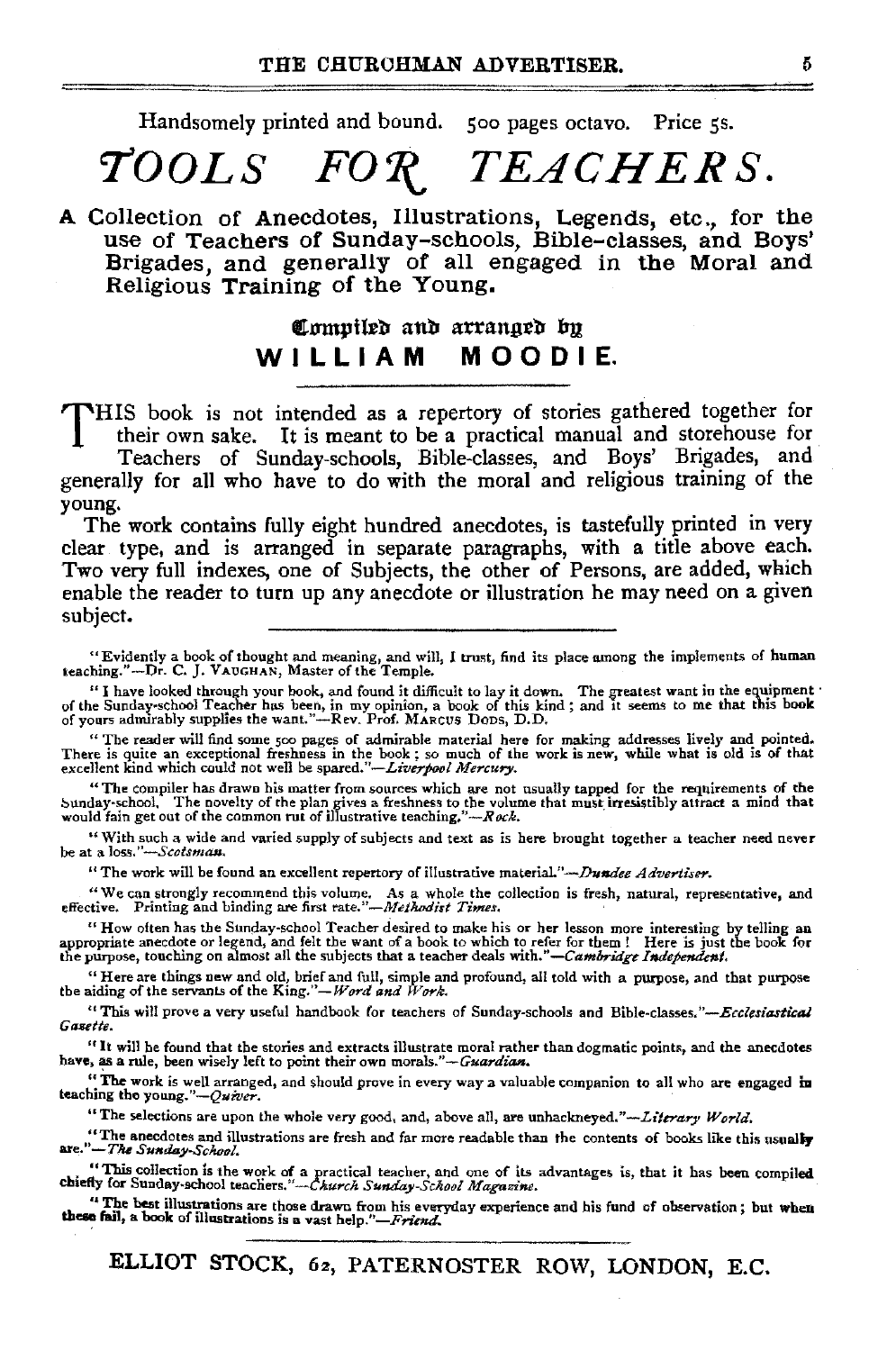Handsomely printed and bound. soo pages octavo. Price *ss.* 

## $\mathit{TOOLS}$   $\mathit{FOR}$   $\mathit{TEACHERS}.$

A Collection of Anecdotes, Illustrations, Legends, etc., for the use of Teachers of Sunday-schools, Bible-classes, and Boys' Brigades, and generally of all engaged in the Moral and Religious Training of the Young.

## Compiled and arranged by WILLIAM MOODIE.

THIS book is not intended as a repertory of stories gathered together for their own sake. It is meant to be a practical manual and storehouse for Teachers of Sunday-schools, Bible-classes, and Boys' Brigades, and

generally for all who have to do with the moral and religious training of the young.

The work contains fully eight hundred anecdotes, is tastefully printed in very clear type, and is arranged in separate paragraphs, with a title above each. Two very full indexes, one of Subjects, the other of Persons, are added, which enable the reader to turn up any anecdote or illustration he may need on a given subject.

"The reader will find some 500 pages of admirable material here for making addresses lively and pointed.<br>There is quite an exceptional freshness in the book; so much of the work is new, while what is old is of that<br>excell

"The compiler has drawn his matter from sources which are not usually tapped for the requirements of the  $\mathbf s$ unday-school, The novelty of the plan gives a freshness to the volume that must irresistibly attract a mind that<br>would fain get out of the common rut of illustrative teaching,"---*Rock*.

"With such a wide and varied supply of subjects and text as is here brought together a teacher need never be at a *loss."-Scotsman.* 

"The work will be found an excellent repertory of illustrative material."-.Dundee *Advertiser.* 

~'We can strongly recommend this volume. As a whole the collection is fresh, natural, representative, and effective. Printing and binding are first *rate."-Metlwdist Times.* ·

<sup>14</sup> How often has the Sunday-school Teacher desired to make his or her lesson more interesting by telling an appropriate aneedote or legend, and felt the want of a book for the purpopriate aneedote or legend, and felt the

"Here are things new and old, brief and full, simple and profound, all told with a purpose, and that purpose the aiding of the servants of the *King."-Word and Work*.

"This will pro~e a very useful handbook for teachers of Sunday-schools and *Bible-classes.''-EcclesiasticaJ Gautte.* 

"It will be found that the stories and extracts illustrate moral rather than dogmatic points, and the anecdotes have, as a rule, been wise]y left to point their own morals.'' *--G-uardlan.* 

"The work is well arranged, and should prove in every way a valuable companion to all who are engaged m teaching the *young."-Qufver.* 

"The selections are upon the whole very good, and, above all, are *unhackneyed.''-Literary World.* 

"The anecdotes and illustrations are fresh and far more readable than the contents of books like this usually are."-The Sunday-School.

<sup>14</sup> This collection is the work of a practical teacher, and one of its advantages is, that it has been compiled chiefly for Sunday-school teachers."--Church Sunday-School Magazine.

<sup>t</sup> The best illustrations are those drawn from his everyday experience and his fund of observation; but when these fail, a book of illustrations is a vast help."- $F$ riend.

ELLIOT STOCK, 6a, PATERNOSTER ROW, LONDON, E.C.

<sup>&</sup>quot;Evidently a book of thought and meaning, and will, l trust, find its place among the implements of human teaching."-Dr. C.]. VAuGHAN, MasteroftheTemp!e.

<sup>&</sup>quot;I have looked through your book, and found it difficult to lay it down. The greatest want in the equipment '<br>of the Sunday-school Teacher has been, in my opinion, a book of this kind; and it seems to me that this book<br>of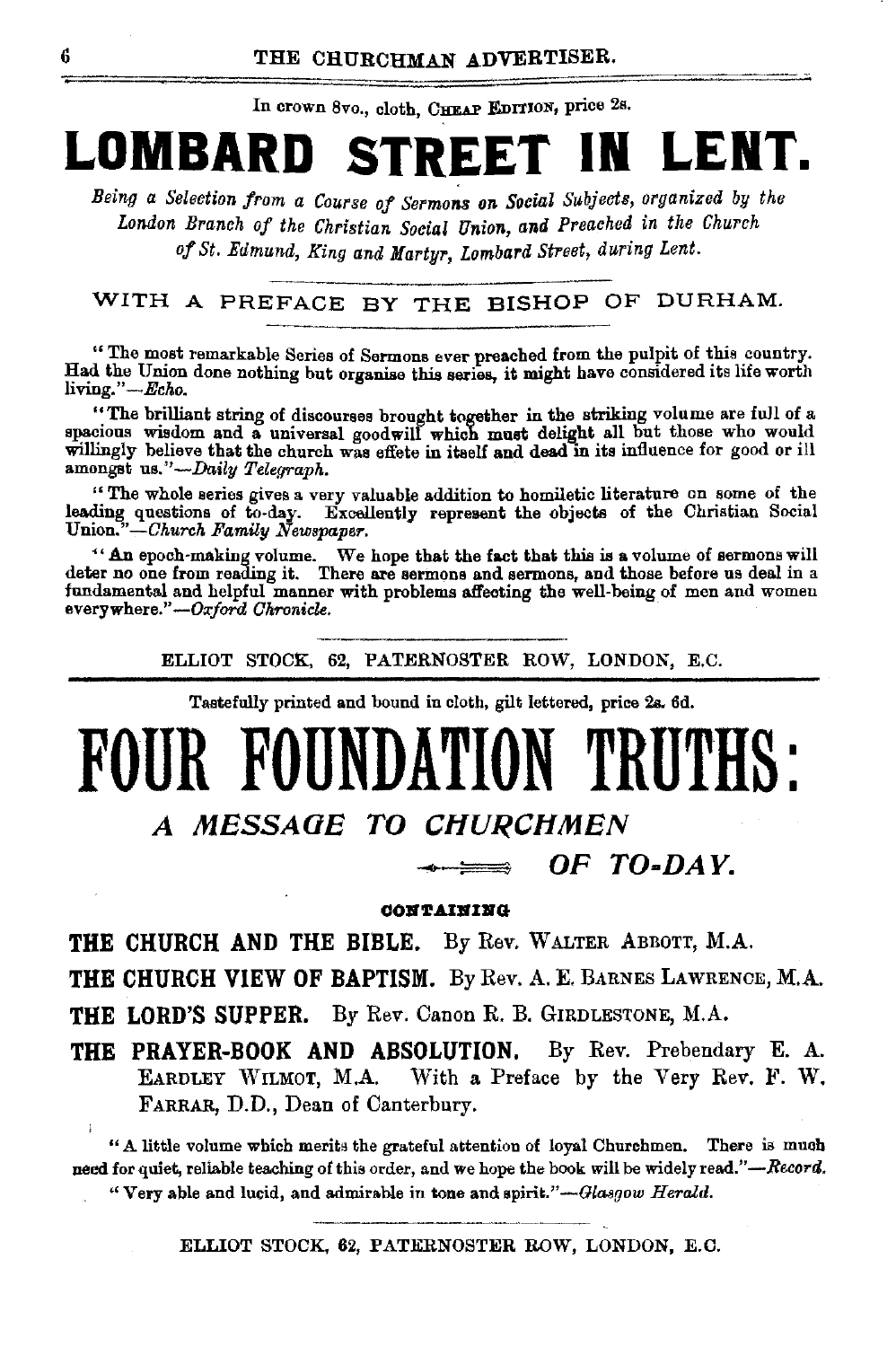In crown 8vo., cloth, CHEAP EDITION, price 2s.

# **LOMBARD STREET IN LENT.**

*Being a Selection from a Course of Sermons on Social Subjects, organized by the London Branch of the Christian Social Union, and Preached in the Church of St. Edmund, King and Martyr, Lombard Street, during Lent.* 

## WITH A PREFACE BY THE BISHOP OF DURHAM.

"The most remarkable Series of Sermons ever preached from the pulpit of this country. Had the Union done nothing but organise this series, it might have considered its life worth living." *-Echo.* 

"The brilliant string of discourses brought together in the striking volume are full of a spacious wisdom and a universal goodwill which must delight all but those who would willingly believe that the church was effete in itself and dead in its influence for good or ill amongst us."-Daily Telegraph.

"The whole series gives a very valuable addition to homiletic literature on some of the leading questions of to-day. Excellently represent the objects of the Christian Social Union."-Church *Family Newspaper.* 

«An epoch-making volume. We hope that the fact that this is a volume of sermons will deter no one from reading it. There are sermons and sermons, and those before us deal in a fundamental and helpful manner with problems affecting the well-being of men and women everywhere." --Oxford *Chronicle*.

ELLIOT STOCK, 62, PATERNOSTER ROW, LONDON, E.C.

Tastefully printed and bound in cloth, gilt lettered, price 2s, 6d.

# **FOUR FOUNDATION TRUTH**

**A MESSAGE TO CHURCHMEN** 

**OF TO-DAY.** 

### **OOll'r.Ulii'IJI'G**

**THE CHURCH AND THE BIBLE.** By Rev. WALTER ABBOTT, M.A.

**THE CHURCH VIEW OF BAPTISM.** By Rev. A. E. BARNES LAWRENCE, M.A.

**THE LORD'S SUPPER.** By Rev. Canon R. B. GIRDLESTONE, M.A.

**THE PRAYER-BOOK AND ABSOLUTION.** By Rev. Prebendary E. A. EARDLEY WILMOT, M.A. With a Preface by the Very Rev. F. W. FARRAR, D.D., Dean of Canterbury.

"A little volume which merits the grateful attention of loyal Churchmen. There is much need for quiet, reliable teaching of this order, and we hope the book will be widely read."-Record. "Very able and lucid, and admirable in tone and spirit."-Glasgow Herald.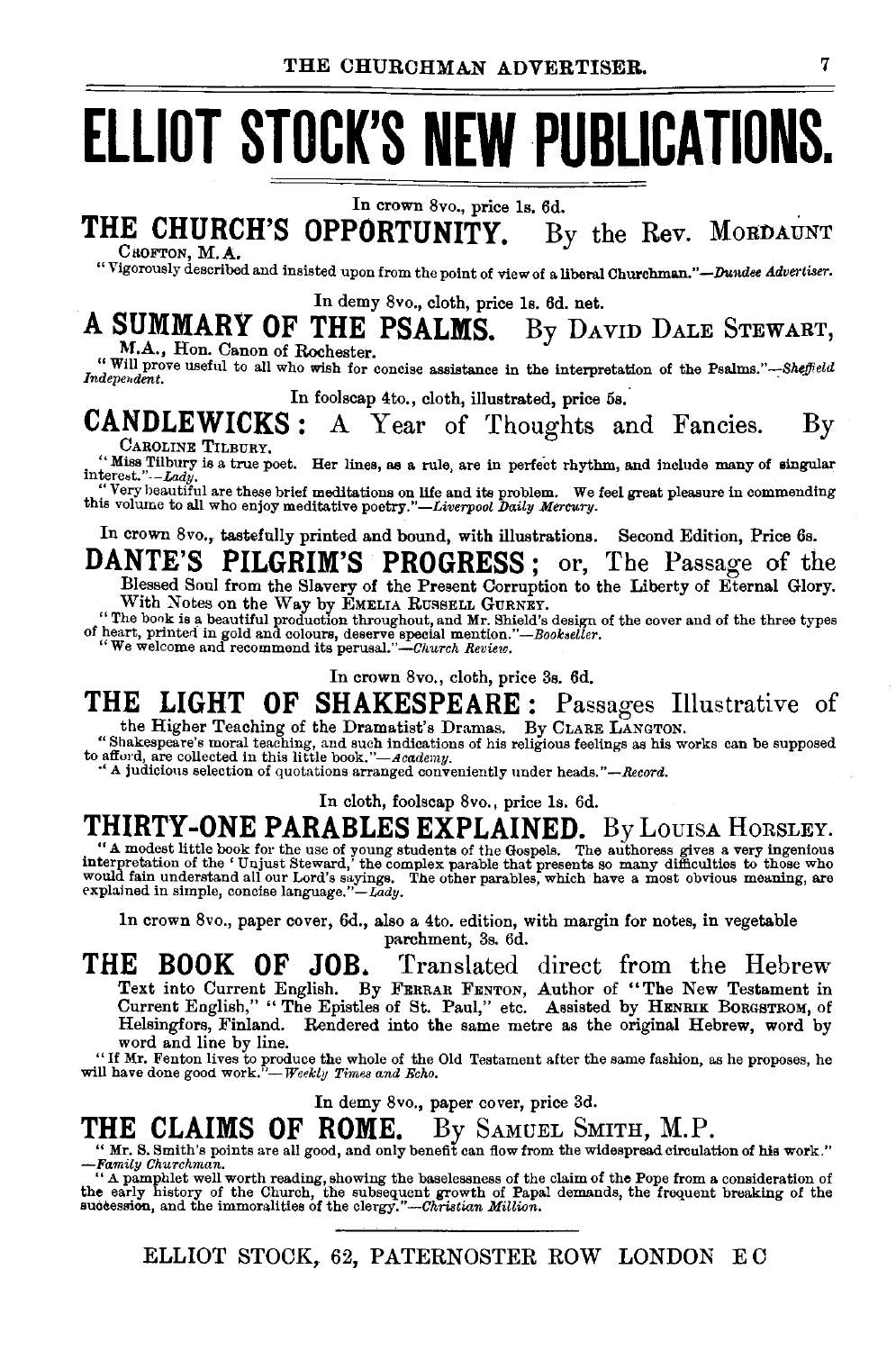# **ELLIOT STOCK'S NEW PUBLICATIONS.**

In crown 8vo., price ls. 6d.

## THE CHURCH'S OPPORTUNITY. By the Rev. MORDAUNT CROFTON, M.A.

"Vigorously described and insisted upon from the point of view of a liberal Churchman."-.Dundee *Advertiser.* 

In demy Svo., cloth, price ls. 6d. net.

# A SUMMARY OF THE PSALMS. By DAVID DALE STEWART, M.A., Hon. Canon of Rochester.

Will prove useful to all who wish for concise assistance in the interpretation of the Psalms."-Sheffield Independent.

## In foolscap 4to., cloth, illustrated, price 5s.<br>**CANDLEWICKS**: A Year of Thoughts an  $\text{NDEWICKS}:$  A Year of Thoughts and Fancies. By CAROLINE TILEURY.

CAROLINE TILBURY.<br>"Miss Tilbury is a true poet. Her lines, as a rule, are in perfect rhythm, and include many of singular interest."-*-Lady.* 

:·Very beautiful are these brief meditations on life and its problem. We feel great pleasure in commending th1s volume to all who enjoy meditative *poetry."-Liverpool Daily Mercury.* 

In crown 8vo., tastefully printed and bound, with illustrations. Second Edition, Price 6s.

DANTE'S PILGRIM'S PROGRESS; or, The Passage of the Blessed Soul from the Slavery of the Present Corruption to the Liberty of Eternal Glory.

With Notes on the Way by FMELIA RUSSELL GURNEY.<br>
"The book is a beautiful production throughout, and Mr. Shield's design of the cover and of the three types<br>
of heart, printed in gold and colours, deserve special mention."

In crown 8vo., cloth, price 3s. 6d.

## THE LIGHT OF SHAKESPEARE: Passages Illustrative of the Higher Teaching of the Dramatist's Dramas. By CLARE LANGTON.

"Shakespeare's moral teaching, and such indications of his religious feelings as his works can be supposed<br>to afford, are collected in this little book."—Academy.<br>A judicious selection of quotations arranged conveniently u

In cloth, foolscap 8vo., price ls. 6d.

THIRTY-ONE PARABLES EXPLAINED. By LOUISA HORSLEY. "A modest little book for the use of young students of the Gospels. The authoress gives a very ingenious interpretation of the 'Unjust Steward,' the complex parable that pr merpression on the couplest covately the compact parables, which have a most obvious meaning, are<br>explained in simple, concise language."—Lady.<br>explained in simple, concise language."—Lady.

ln crown 8vo., paper cover, 6d., also a 4to. edition, with margin for notes, in vegetable parchment, 3s. 6d.

THE BOOK OF JOB. Translated direct from the Hebrew Text into Current English. By FERRAR FENTON, Author of "The New Testament in Current English," " The Epistles of St. Paul," etc. Assisted by HENRIK BORGSTROM, of Helsingfors, Finland. Rendered into the same metre as the original Hebrew, word by word and line by line.

"If Mr. Fenton lives to produce the whole of the Old Testament after the same fashion, as he proposes, he will have done good work."-Weekly Times and Echo.

In demy 8vo., paper cover, price 3d.

**THE CLAIMS OF ROME.** By SAMUEL SMITH, M.P.<br>
"Mr. S. Smith's points are all good, and only benefit can flow from the widespread circulation of his work."<br>
"A pamphlet well worth reading, showing the baselessness of the cl

ELLIOT STOCK, 62, PATERNOSTER ROW LONDON EO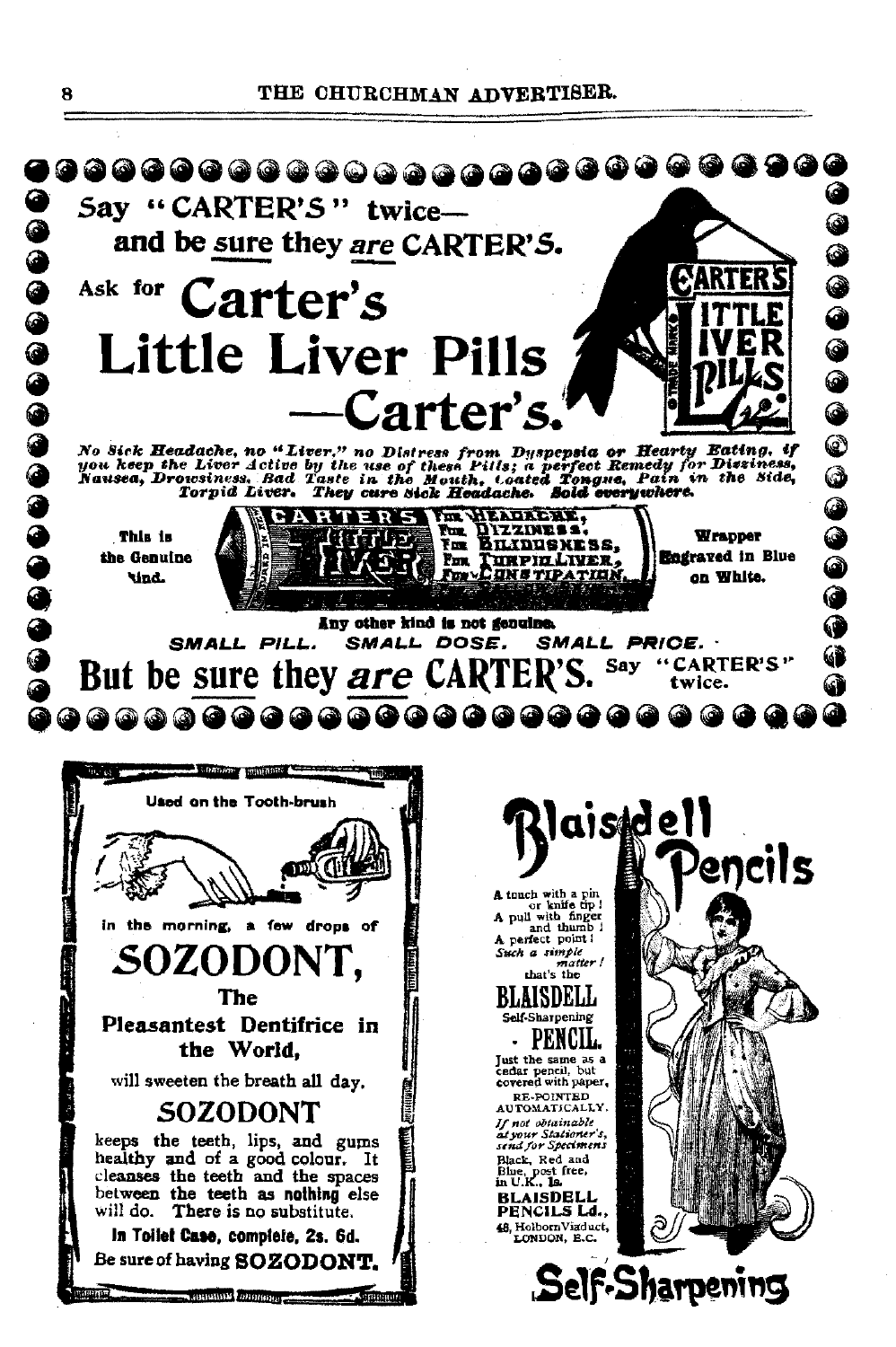## THE CHURCHMAN ADVERTISER.

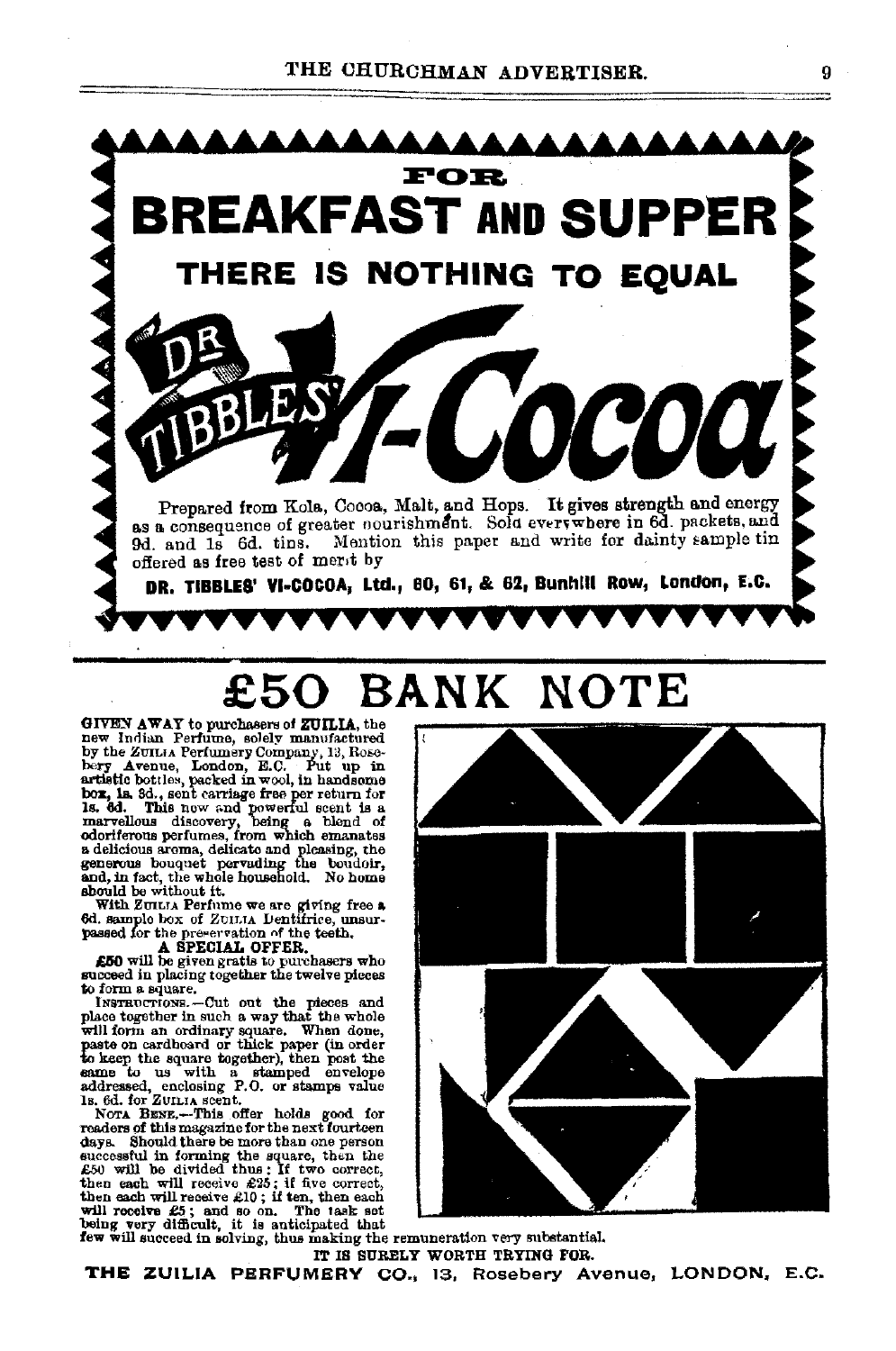

# **£50 BANK NOTE**

GIVEY AWAY to purchasers of ZUILIA, the new Indian Perfume, solely manufactured<br>by the ZUILIA Perfumery Company, 13, Rose-<br>bery Avenue, London, E.C. Put up in artistic bottles, packed in wool, in handsome box, in and correct term for 15. 8d., sent carriege free per return for 1s. 6d. This new and powerful ecent is a marvellous discovery, being a blend of odorifrence perfumes, fr

With ZUILTA Perfume we are giving free a 6d. sample box of ZUILTA Dentifrice, unsur-

A SPECIAL OFFER. £GO will be given gratis to purchasers who

succeed in placing together the twelve pieces to form a square.<br>Instructions. -Cut out the pieces and place together in such a way that the whole<br>place together in such a way that the whole<br>will form an ordinary square. Wh paste on cardboard or thick paper (In order to keep the square together), then post the same to us with a stamped envelope

addressed, enclosing P.O. or stamps value<br>Is. 6d. for ZuuLrA scent.<br>Nora BENE.--This offer holds good for<br>readers of this magazine for the next fourteen readers of this magazine for the next fourteen<br>degs. Should there be more than one person<br>successful in forming the square, then the<br> $E50$  will be divided thus : If two correct,<br>then each will receive  $E35$ ; if flue corre



IT IS SURELY WORTH TRYING FOR. **THE** ZUILIA PERFUMERY CO., 13, Rosebery Avenue, LONDON, E.C.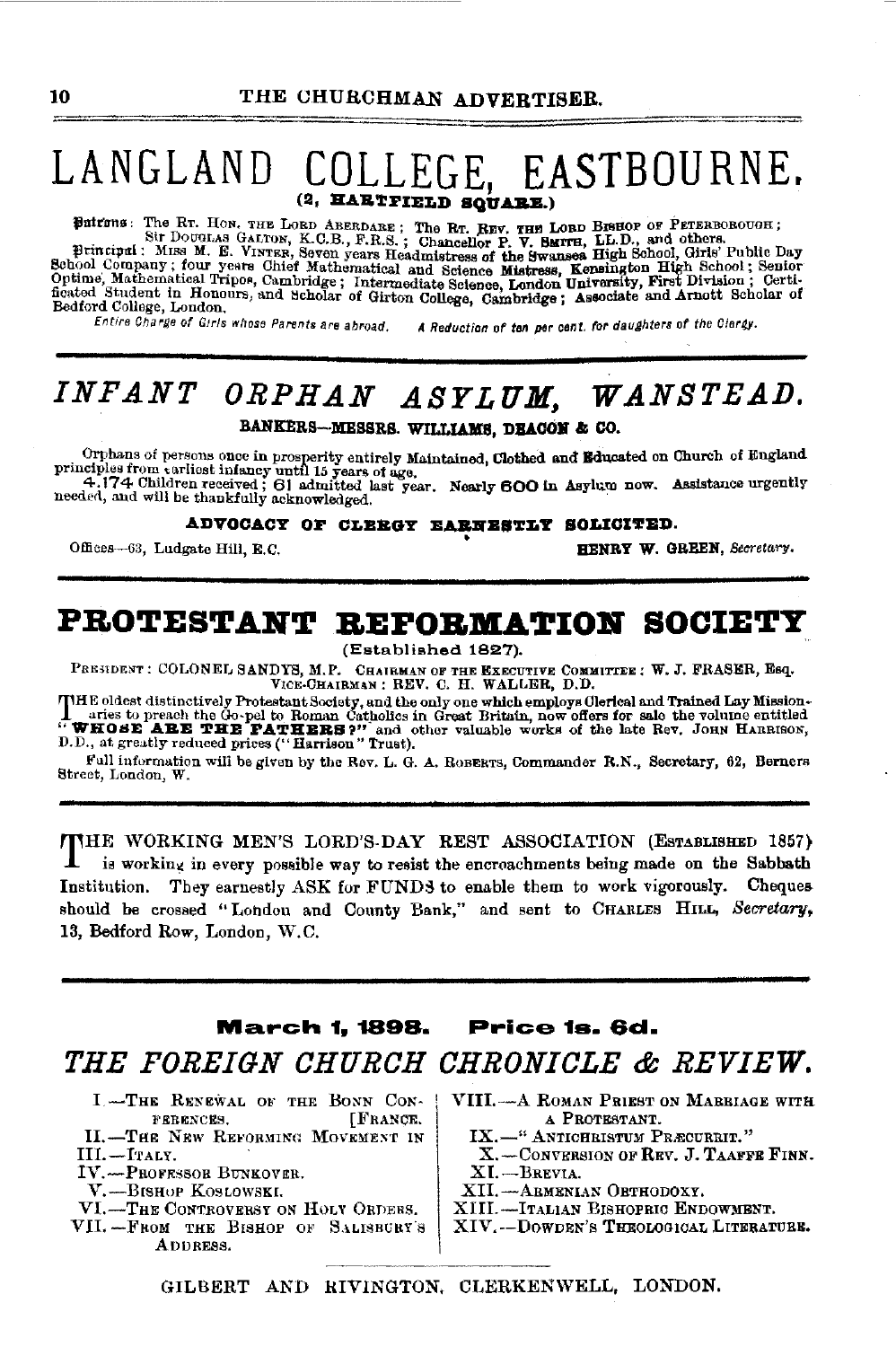# LANGLAND COLLEGE, EASTBOURNE.

Butrons: The Rr. How. THE LORD ABERDARE; The Rr. REV. THE LORD BISHOP OF PETERBOROUGH; SIT DOUGLAS GALTON, K.C.B., F.R.S.; Chancellor P. V. SMITH, LL.D., and others.<br>
Principal: Miss M. E. Vinvirg, Seven years Headmistress Bedford College, London.

Entire Charge of Girls whose Parents are abroad.

A Reduction of ten per cent. for daughters of the Clergy.

## INFANT ORPHAN ASYLUM, WANSTEAD.

BANKERS-MESSRS. WILLIAMS, DEACON & CO.

Orphans of persons once in prosperity entirely Maintained, Clothed and Educated on Church of England Diplos from carliest infancy until 15 years of age,<br>4.174 Children received: 61 admitted last year. Nearly 600 in Asylum now. Assistance urgently needed, and will be thankfully acknowledged.

**ADVOCACY OF CLEEGY EARNESTLY SOLICITED.** 

Offices-63, Ludgate Hill, E.C.

HENRY W. GREEN, Secretary.

## PROTESTANT REFORMATION SOCIETY

(Established 1827).

PRESIDENT: COLONEL SANDYS, M.P. CHAIRMAN OF THE EXECUTIVE COMMITTEE: W. J. FRASER, ESQ. VICE-CHAIRMAN: REV. C. H. WALLER, D.D.

THE oldest distinctively Protestant Society, and the only one which employs Clerical and Trained Lay Mission-<br>
Intes to preach the Go-pel to Roman Catholics in Great Britain, now offers for sale the volume entitled<br>
"WHOSE

Full information will be given by the Rov. L. G. A. ROBERTS, Commander R.N., Secretary, 62, Berners Street, London, W.

THE WORKING MEN'S LORD'S-DAY REST ASSOCIATION (ESTABLISHED 1857) is working in every possible way to resist the encroachments being made on the Sabbath Institution. They earnestly ASK for FUNDS to enable them to work vigorously. Cheques should be crossed "Londou and County Bank," and sent to CHARLES HILL, Secretary, 13, Bedford Row, London, W.C.

### **March 1, 1898.** Price 1s. 6d.

## THE FOREIGN CHURCH CHRONICLE & REVIEW.

- I .- THE RENEWAL OF THE BONN CON-FEBENCES. [FRANCE.
- II.-THE NEW REFORMING MOVEMENT IN III.-ITALY.
- IV.-PROFESSOR BUNKOVER.
- V.-BISHOP KOSLOWSKI.
- VI.-THE CONTROVERSY ON HOLY ORDERS.
- VII. FROM THE BISHOP OF SALISBURY'S ADDRESS.

VIII.-A ROMAN PRIEST ON MARBIAGE WITH A PROTESTANT.

- IX.-" ANTICHBISTUM PRÆCUREIT."
- X. CONVERSION OF REV. J. TAAFFE FINN.
- XI.-Brevia.
- XII.-ABMENIAN OBTHODOXY.
- XIII.-Italian Bishopric Endowment.
- XIV.--DOWDEN'S THEOLOGICAL LITERATURE.

GILBERT AND RIVINGTON, CLERKENWELL, LONDON.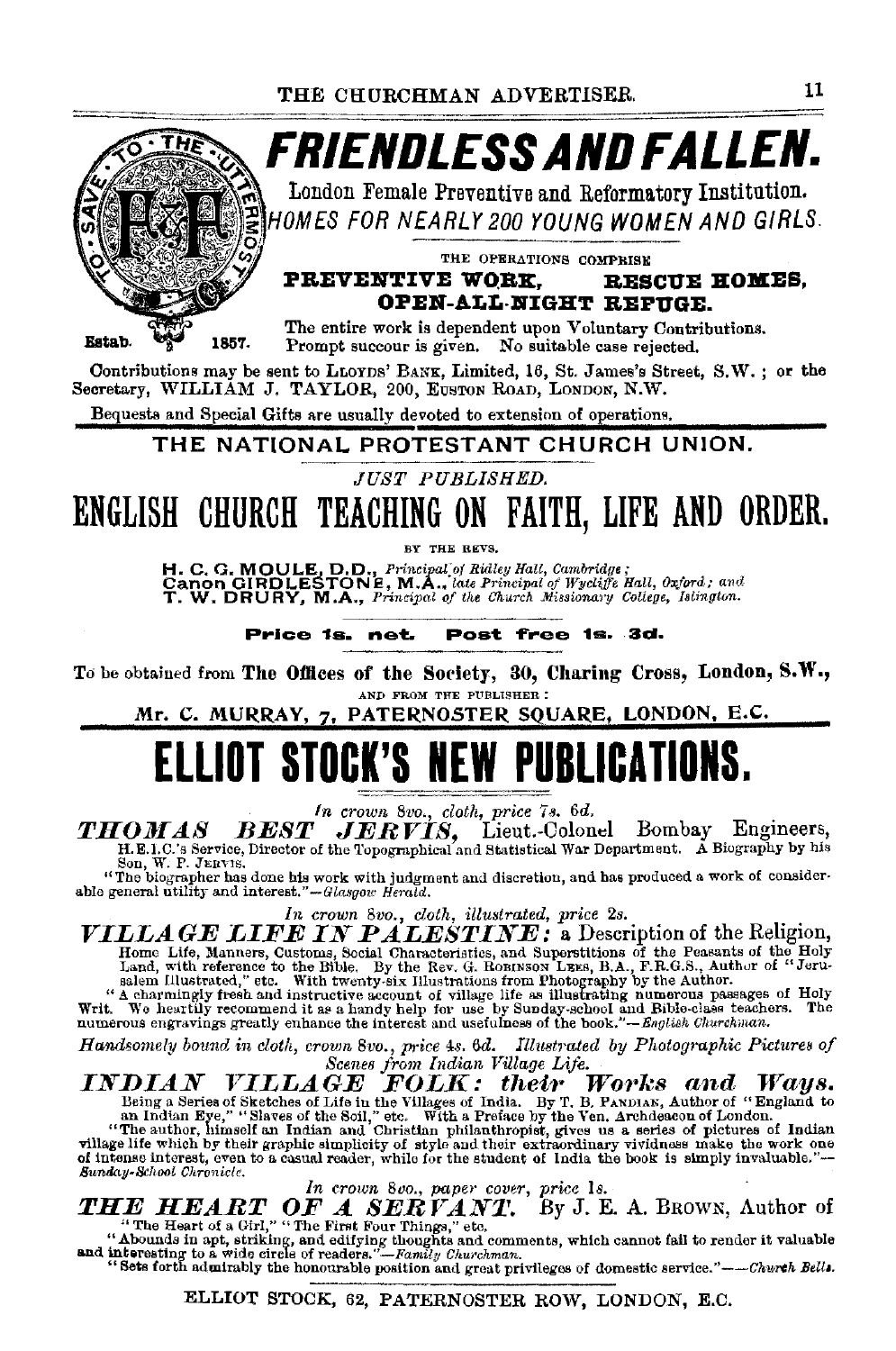

Prompt succour is given. No suitable case rejected.

Contributions may be sent to LLOYDS' BANK, Limited, 16, St. James's Street, S.W.; or the Secretary, WILLIAM J. TAYLOR, 200, EUSTON ROAD, LONDON, N.W.

Bequests and Special Gifts are usually devoted to extension of operations.

THE NATIONAL PROTESTANT CHURCH UNION.

JUST PUBLISHED.

ENGLISH CHURCH TEACHING ON FAITH, LIFE AND ORDER.

BY THE REVS.

H. C. G. MOULE, D.D., Principal of Ridley Hall, Cambridge;<br>Canon GIRDLESTONE, M.A., late Principal of Wycliffe Hall, Oxford; and<br>T. W. DRURY, M.A., Principal of the Church Missionary College, Islington.

Price 1s. net. Post free 1s. 3d.

To be obtained from The Offices of the Society, 30, Charing Cross, London, S.W., AND FROM THE PUBLISHER :

Mr. C. MURRAY, 7, PATERNOSTER SQUARE, LONDON, E.C.

# **ELLIOT STOCK'S NEW PUBLICATIONS.**

In crown 8vo., cloth, price 7s. 6d.<br> **IOMAS BEST JERVIS,** Lieut.-Colonel Bombay Engineers,<br>
H.E.I.C.'s Service, Director of the Topographical and Statistical War Department. A Biography by his *THOMAS* Son, W. P. JERVIS.

"The biographer has done his work with judgment and discretion, and has produced a work of considerable general utility and interest." $-Glassov$  Herald.

In crown 8vo., cloth, illustrated, price 2s.<br>
VILLAGE LIFE IN PALESTINE: a Description of the Religion, FIFTLY US TATTED IT A PLACE IN A SUPERIORS of the Peasants of the Holy<br>Land, with reference to the Bible. By the Rev. G. ROBINSON LEES, B.A., F.R.G.S., Author of "Jeru-<br>salem Illustrated," etc. With twenty-six Illustration

Handsomely bound in cloth, crown 8vo., price 4s. 6d. Illustrated by Photographic Pictures of<br>  $S$ cenes from Indian Village Life.<br>  $\blacksquare$ <br>  $\blacksquare$ <br>  $\blacksquare$ <br>  $\blacksquare$ <br>  $\blacksquare$ <br>  $\blacksquare$ <br>  $\blacksquare$ <br>  $\blacksquare$ <br>  $\blacksquare$ <br>  $\blacksquare$ <br>  $\blacksquare$ <br>  $\bl$ Sunday-School Chronicle.

In crown 800., paper cover, price 1s.<br>
THE HEART OF A SERVANT. By J. E. A. BROWN, Author of<br>
"The Heart of a Girl," "The First Four Things," etc.<br>
"Abounds in apt, striking, and editying thoughts and comments, which cannot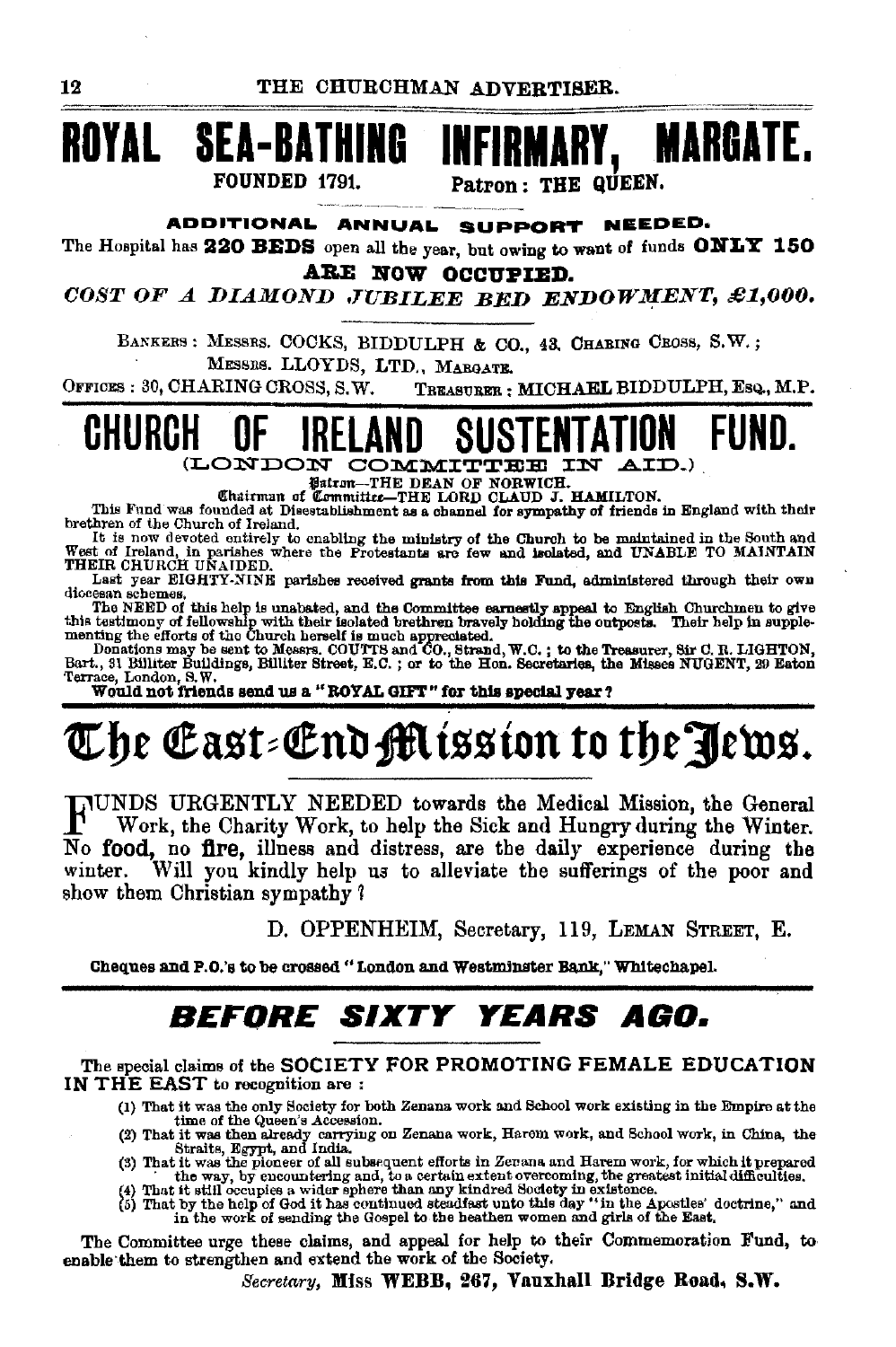

ADDITIONAL ANNUAL SUPPORT NEEDED.

**INFIRMARY.** 

Patron: THE QUEEN.

MARGATE.

The Hospital has 220 BEDS open all the year, but owing to want of funds ONLY 150 ARE NOW OCCUPIED.

COST OF A DIAMOND JUBILEE BED ENDOWMENT, £1,000.

BANKERS: MESSRS. COCKS, BIDDULPH & CO., 43, CHABING CROSS, S.W.; MESSRS. LLOYDS, LTD., MARGATR.

OFFICES: 30, CHARING CROSS, S.W. TREASURER : MICHAEL BIDDULPH, Esq., M.P.



**Fairm-THE DEAN OF NORWICH.**<br>Chairman of Committee-THE LORD CLAUD J. HAMILTON.

This Fund was founded at Disestablishment as a channel for sympathy of friends in England with their brethren of the Church of Ireland.

It is now devoted entirely to enabling the ministry of the Church to be maintained in the South and West of Ireland, in parishes where the Protestants are few and isolated, and UNABLE TO MAINTAIN THEIR CHURCH UNAIDED.

Last year EIGHTY-NINE parishes received grants from this Fund, administered through their own

Last year EIGHTY-NINE parts are recoved grants from the summaristic and the disconsistent schemes.<br>The NEED of this help is unabated, and the Committee earnestly appeal to English Churchmen to give this testimory of fellow

Terrace, London, S.W.

Would not friends send us a "ROYAL GIFT" for this special year?

# The East=End Mission to the Jews.

JUNDS URGENTLY NEEDED towards the Medical Mission, the General Work, the Charity Work, to help the Sick and Hungry during the Winter. No food, no fire, illness and distress, are the daily experience during the Will you kindly help us to alleviate the sufferings of the poor and winter. show them Christian sympathy?

D. OPPENHEIM, Secretary, 119, LEMAN STREET, E.

Cheques and P.O.'s to be crossed "London and Westminster Bank." Whitechapel.

## **BEFORE SIXTY YEARS AGO.**

The special claims of the SOCIETY FOR PROMOTING FEMALE EDUCATION IN THE EAST to recognition are:

- (1) That it was the only Society for both Zenans work and School work existing in the Empire at the time of the Queen's Accession.
- (2) That it was then already carrying on Zenana work, Harom work, and School work, in China, the Straits, Egypt, and India.
- Survey in the way, by encountering and, to a certain extent of Director and Harem work, for which it prepared<br>
(3) That it was the pioneer of all subsequent efforts in Zerana and Harem work, for which it prepared<br>
(4) That
- 

The Committee urge these claims, and appeal for help to their Commemoration Fund, to enable them to strengthen and extend the work of the Society.

Secretary, Miss WEBB, 267, Vauxhall Bridge Road, S.W.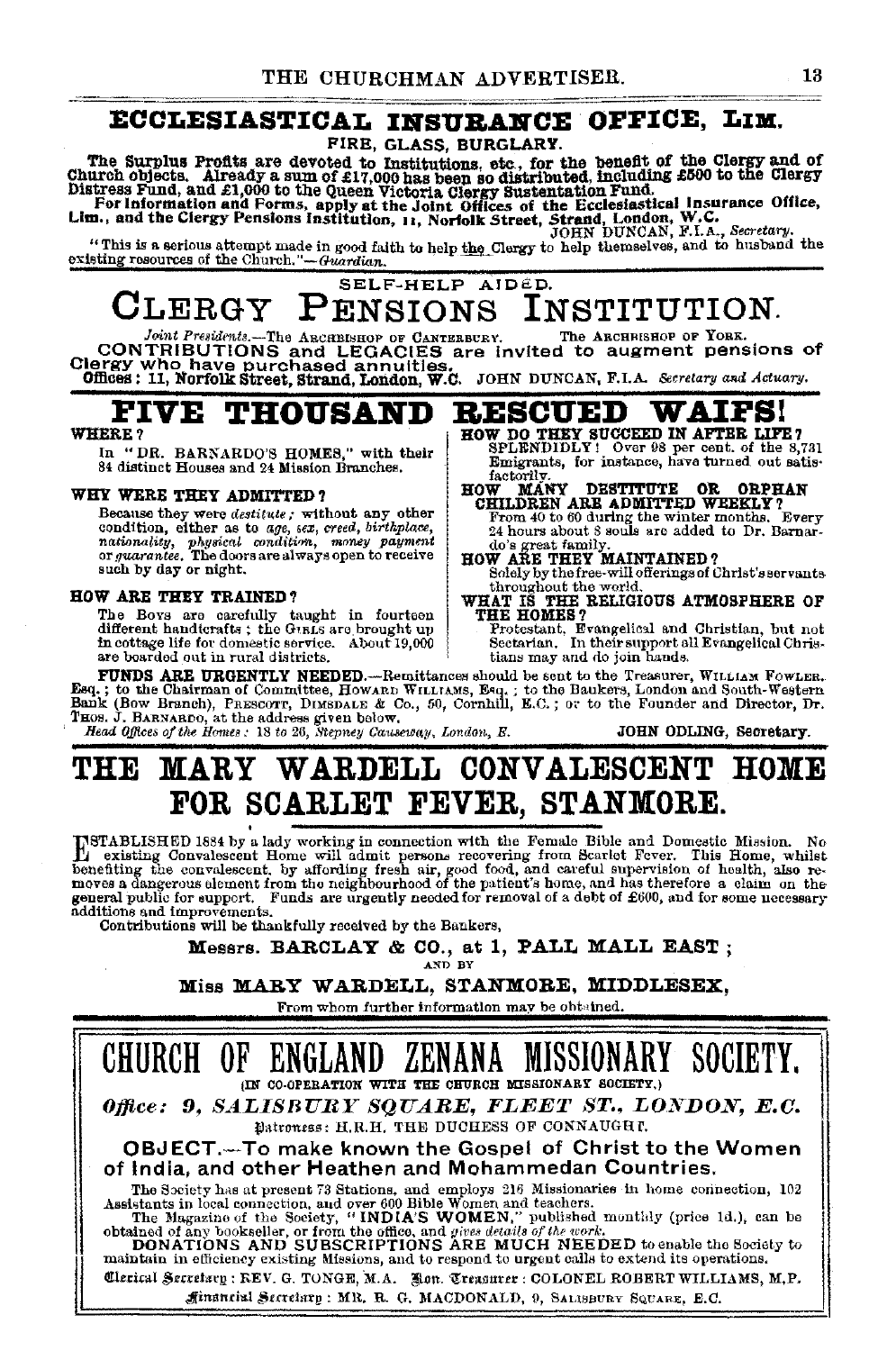## ECCLESIASTICAL INSURANCE OFFICE, LIM.

FIRE, GLASS, BURGLARY.

The Surplus Profits are devoted to Institutions, etc., for the benefit of the Clergy and of Church objects. Already a sum of £17,000 has been so distributed, including £500 to the Clergy Distress Fund, and £1,000 to the Q

 $\mathtt{CLERGY}$ SELF-HELP AIDED.

**CLERGY PENSIONS INSTITUTION.**<br>CONTRIBUTIONS and LEGACIBISHOP OF CARTERBURY. The ARCHESHOP OF TORK.<br>CLEY Who have purchased annuities.<br>Offices: 11, Norfolk Street, Strand, London, W.C. JOHN DUNCAN, F.I.A. Secretary and Ac

**FIVE THOUSAND BESCUED WAIFS!**<br>WHERE ? **FIGHT DO THEY SUCCEED IN AFTER LIP** WHERE ? HOW DO THEY SUCCEED IN AFTER LIFE?<br>In "DR. RARNARDO'S HOMES" with their SPLENDIDLY! Over 98 per cent. of the 8,731

factorily.<br>**HOW MAI** 

In "DR. BARNARDO'S HOMES," with their 84 distinct Houses and 24 Mission Branches.

WHY WERE THEY ADMITTED ?<br>Because they were *destitute*; without any other Because they were *destitute;* without any other condition, either as to *age, sex, creed, birthplace, nationality, physical condition, money payment* or *guarantee.* The doors are always open to receive<br>such by day or night.

**HOW ARE THEY TRAINED?**<br>The Boys are carefully taught in fourteen<br>different handtcrafts; the Gual are brought up different handtcrafts; the Grans are brought up<br>
in cottage life for domestic. About 19,000<br>
in the boarded out in rural districts. About 19,000<br>
sectarian. In their surport all Evangelical Chris-<br>
are boarded out in rural

FUNDS ARE URGENTLY NEEDED.—Recnittances ahould be sent to the Treasurer, WILLIAM FOWLER.<br>Esq.; to the Chairman of Committee, HowARD WILLIAMS, Esq.; to the Baukers, London and South-Western<br>Bank (Bow Branch), PRESCOTT, DIME THOS. J. BARNARDO, at the address given below. '' '' '' '' <sup>The T</sup>imes of the Homes:  $\frac{1}{2}$  is a step of the Homes:  $\frac{1}{2}$  is  $\frac{1}{2}$  is  $\frac{1}{2}$  and  $\frac{1}{2}$  is  $\frac{1}{2}$  is  $\frac{1}{2}$  in  $\frac{1}{2}$  in  $\frac{1}{2}$  i

Emigrants, for instance, have turned out satis·

HOW MANY DESTITUTE OR ORPHAN CHILDREN ARE ADMITTED WEEKLY? From 40 to 60 during the winter months. Every 24 hours about 8 souls are added to Dr. Barnardot's do's great family. do's great family.<br>HOW ARE THEY MAINTAINED?<br>Solely by the free-will offerings of Christ's servants Solen by the world.<br>
WHAT IS THE RELIGIOUS ATMOSPHERE OF THE HOMES?

## **THE MARY WARDELL CONVALESCENT HOME FOR SCARLET FEVER, STANMORE.**

ESTABLISHED 1884 by a lady working in connection with the Female Bible and Domestic Misaion. No existing Convalescent Home will admit person. recovering from Scarlet Fever. This Home, whilst; benefiting the convalescent, by affording fresh air, good food, and careful supervision of health, also removes a dangerous element from the neighbourhood of the patient's home, and has therefore a claim on the general pu additions and improvements.<br>Contributions will be thankfully received by the Bankers,

Messrs. BARCLAY & CO., at 1, PALL MALL EAST;

Miss MARY WARDELL, STANMORE, MIDDLESEX,<br>From whom further information may be oht¤ined.

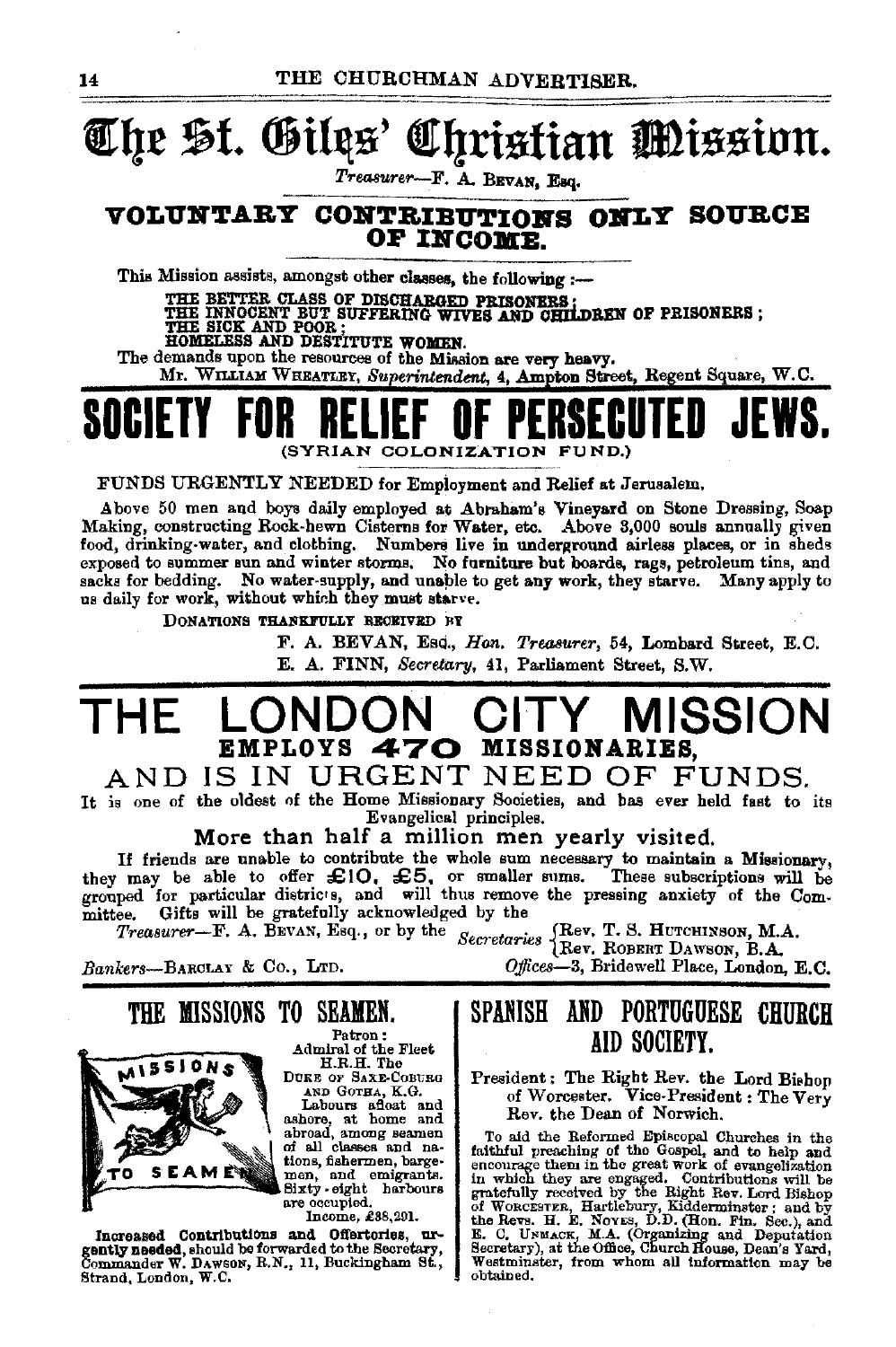## The St. Giles: hristian Mission.

Treasurer-F. A. BEVAN, Esq.

## VOLUNTARY CONTRIBUTIONS ONLY SOURCE OF INCOME.

This Mission assists, amongst other classes, the following :-

THE BETTER CLASS OF DISCHARGED PRISONERS:<br>THE INNOCENT BUT SUFFERING WIVES AND CHILDREN OF PRISONERS;<br>THE SICK AND POOR;

HOMELESS AND DESTITUTE WOMEN.

The demands upon the resources of the Mission are very heavy. Mr. WILLIAM WHEATLEY, Superintendent, 4, Ampton Street, Regent Square, W.C.

(SYRIAN COLONIZATION FUND.)

FUNDS URGENTLY NEEDED for Employment and Relief at Jerusalem.

Above 50 men and boys daily employed at Abraham's Vineyard on Stone Dressing, Soap Making, constructing Rock-hewn Cisterns for Water, etc. Above 3,000 souls annually given food, drinking-water, and clothing. Numbers live in underground airless places, or in sheds exposed to summer sun and winter storms. No furniture but boards, rags, petroleum tins, and sacks for bedding. No water-supply, and unable to get any work, they starve. Many apply to us daily for work, without which they must starve.

DONATIONS THANKFULLY RECEIVED BY

F. A. BEVAN, Esc., Hon. Treasurer, 54, Lombard Street, E.C.

E. A. FINN, Secretary, 41, Parliament Street. S.W.

### **MISSION** THF  $CHIY$ EMPLOYS 470 MISSIONARIES.

## AND IS IN URGENT NEED OF FUNDS.

It is one of the oldest of the Home Missionary Societies, and has ever held fast to its Evangelical principles.

More than half a million men yearly visited.

If friends are unable to contribute the whole sum necessary to maintain a Missionary, they may be able to offer £10. £5, or smaller sums. These subscriptions will be grouped for particular districts, and will thus remove the pressing anxiety of the Com-These subscriptions will be mittee. Gifts will be gratefully acknowledged by the

Secretaries (Rev. T. S. HUTCHINSON, M.A. Treasurer- $\mathbf{F.}$  A. BEVAN, Esq., or by the

Bankers-BARCLAY & Co., LTD.

## THE MISSIONS TO SEAMEN.



Patron: Admiral of the Fleet H.R.H. The DUKE OF SAXE-COBURG

AND GOTHA, K.G.

Labours aftest and<br>ashore, at home and<br>abroad, among seamen<br>of all classes and nations, fishermen, bargemen, and emigrants.<br>Sixty-eight harbours are occupied.

Income, £38,291.

Increased Contributions and Offertories, urgently needed, should be forwarded to the Secretary, Strand, London, W.C.

## SPANISH AND PORTUGUESE CHURCH AID SOCIETY.

Offices-3, Bridewell Place, London, E.C.

## President: The Right Rev. the Lord Bishop<br>of Worcester. Vice-President: The Very Rev. the Dean of Norwich.

To aid the Reformed Episcopal Churches in the To aid the Heforman Episcopal Churches in the factor<br>faithful preaching of the Gospel, and to help and<br>encourage them in the great work of evangelization<br>in which they are engaged. Contributions will be<br>gratefully received Westminster, from whom all information may be obtained.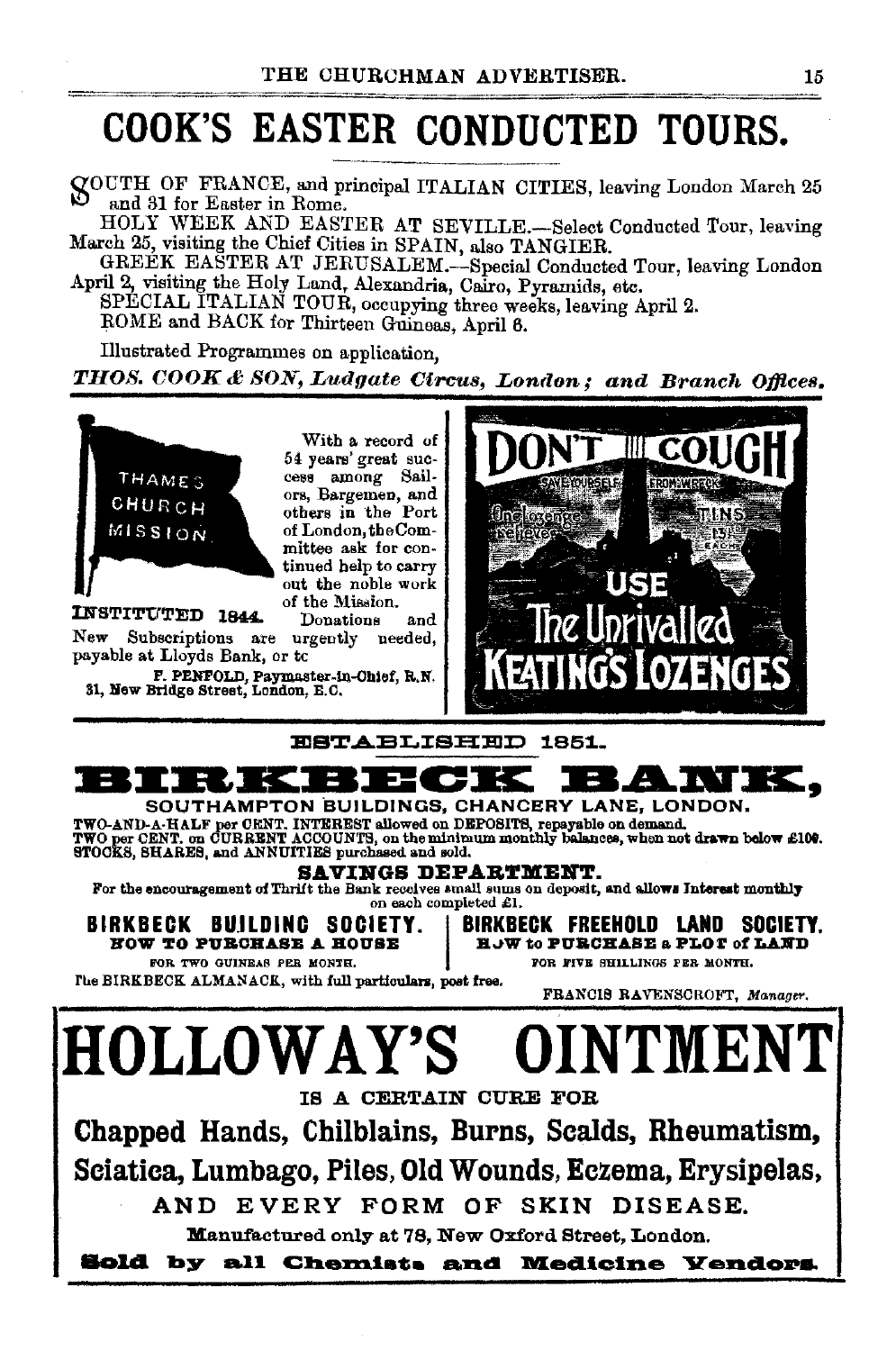## COOK'S EASTER CONDUCTED TOURS.

O'OUTH OF FRANCE, and principal ITALIAN CITIES leaving London March 25 and 31 for Easter in Rome.

HOLY WEEK AND EASTER AT SEVILLE.-Select Conducted Tour, leaving March 25, visiting the Chief Cities in SPAIN, also TANGIER.

GREÉK EASTER AT JERUSALEM.-Special Conducted Tour, leaving London April 2, visiting the Holy Land, Alexandria, Cairo, Pyramids, etc.

SPECIAL ITALIAN TOUR, occupying three weeks, leaving April 2.

ROME and BACK for Thirteen Guineas, April 6.

Illustrated Programmes on application,

*THOS. COOK & SON, Ludgate Circus, London; and Branch Offices.* 



With a record of 54 years' great suc- cess among Sail- ors, Bargemen, a.nd others in the Port of London, the Committee ask for con- tinued help to carry out the noble work

of the Mission. INSTITUTED 1844. Donations and New Subscriptions are urgently needed, payable at Lloyds Bank, or tc

P. PENFOLD, Paymaster-ln..Ohlef, R.N. 31, lfew Bridge Street, London, B.C.